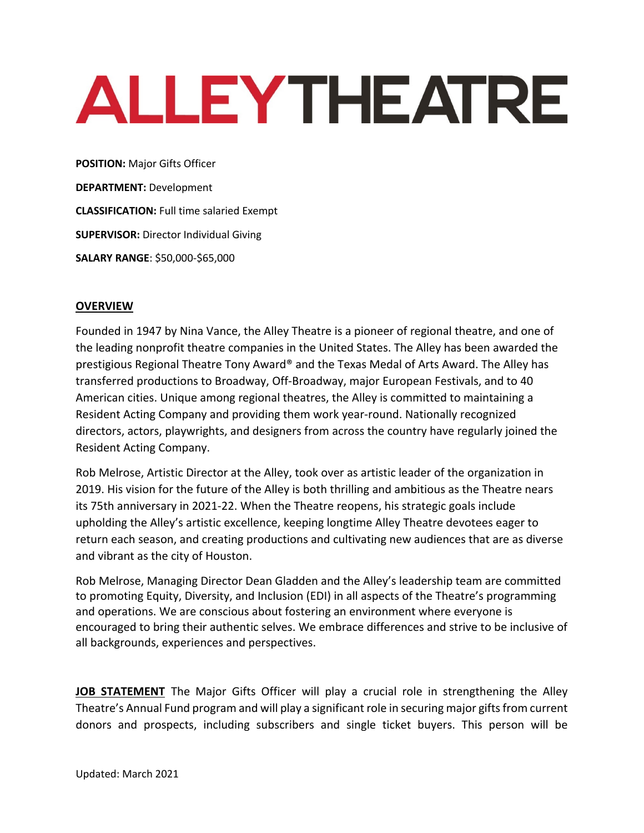# **ALLEYTHEATRE**

**POSITION:** Major Gifts Officer **DEPARTMENT:** Development **CLASSIFICATION:** Full time salaried Exempt **SUPERVISOR:** Director Individual Giving **SALARY RANGE**: \$50,000-\$65,000

## **OVERVIEW**

Founded in 1947 by Nina Vance, the Alley Theatre is a pioneer of regional theatre, and one of the leading nonprofit theatre companies in the United States. The Alley has been awarded the prestigious Regional Theatre Tony Award® and the Texas Medal of Arts Award. The Alley has transferred productions to Broadway, Off-Broadway, major European Festivals, and to 40 American cities. Unique among regional theatres, the Alley is committed to maintaining a Resident Acting Company and providing them work year-round. Nationally recognized directors, actors, playwrights, and designers from across the country have regularly joined the Resident Acting Company.

Rob Melrose, Artistic Director at the Alley, took over as artistic leader of the organization in 2019. His vision for the future of the Alley is both thrilling and ambitious as the Theatre nears its 75th anniversary in 2021-22. When the Theatre reopens, his strategic goals include upholding the Alley's artistic excellence, keeping longtime Alley Theatre devotees eager to return each season, and creating productions and cultivating new audiences that are as diverse and vibrant as the city of Houston.

Rob Melrose, Managing Director Dean Gladden and the Alley's leadership team are committed to promoting Equity, Diversity, and Inclusion (EDI) in all aspects of the Theatre's programming and operations. We are conscious about fostering an environment where everyone is encouraged to bring their authentic selves. We embrace differences and strive to be inclusive of all backgrounds, experiences and perspectives.

**JOB STATEMENT** The Major Gifts Officer will play a crucial role in strengthening the Alley Theatre's Annual Fund program and will play a significant role in securing major gifts from current donors and prospects, including subscribers and single ticket buyers. This person will be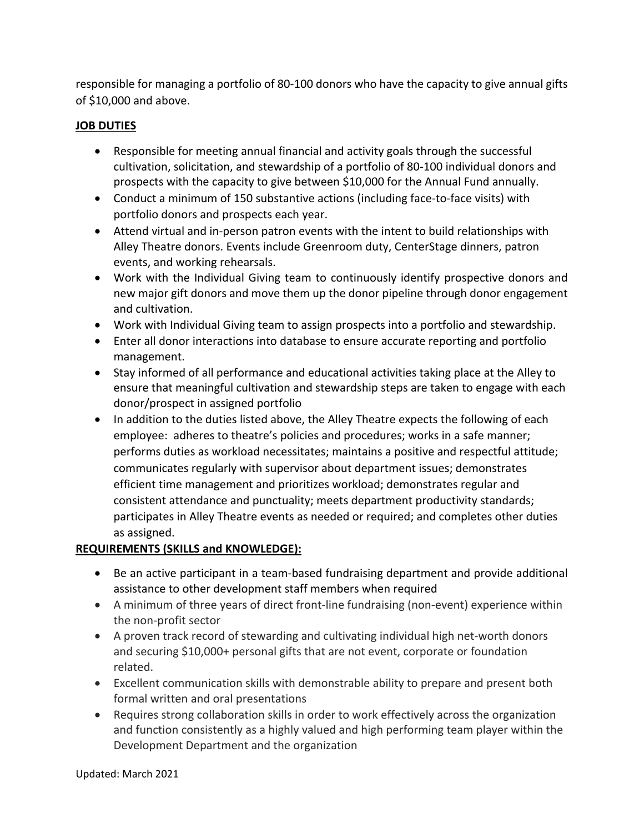responsible for managing a portfolio of 80-100 donors who have the capacity to give annual gifts of \$10,000 and above.

## **JOB DUTIES**

- Responsible for meeting annual financial and activity goals through the successful cultivation, solicitation, and stewardship of a portfolio of 80-100 individual donors and prospects with the capacity to give between \$10,000 for the Annual Fund annually.
- Conduct a minimum of 150 substantive actions (including face-to-face visits) with portfolio donors and prospects each year.
- Attend virtual and in-person patron events with the intent to build relationships with Alley Theatre donors. Events include Greenroom duty, CenterStage dinners, patron events, and working rehearsals.
- Work with the Individual Giving team to continuously identify prospective donors and new major gift donors and move them up the donor pipeline through donor engagement and cultivation.
- Work with Individual Giving team to assign prospects into a portfolio and stewardship.
- Enter all donor interactions into database to ensure accurate reporting and portfolio management.
- Stay informed of all performance and educational activities taking place at the Alley to ensure that meaningful cultivation and stewardship steps are taken to engage with each donor/prospect in assigned portfolio
- In addition to the duties listed above, the Alley Theatre expects the following of each employee: adheres to theatre's policies and procedures; works in a safe manner; performs duties as workload necessitates; maintains a positive and respectful attitude; communicates regularly with supervisor about department issues; demonstrates efficient time management and prioritizes workload; demonstrates regular and consistent attendance and punctuality; meets department productivity standards; participates in Alley Theatre events as needed or required; and completes other duties as assigned.

# **REQUIREMENTS (SKILLS and KNOWLEDGE):**

- Be an active participant in a team-based fundraising department and provide additional assistance to other development staff members when required
- A minimum of three years of direct front-line fundraising (non-event) experience within the non-profit sector
- A proven track record of stewarding and cultivating individual high net-worth donors and securing \$10,000+ personal gifts that are not event, corporate or foundation related.
- Excellent communication skills with demonstrable ability to prepare and present both formal written and oral presentations
- Requires strong collaboration skills in order to work effectively across the organization and function consistently as a highly valued and high performing team player within the Development Department and the organization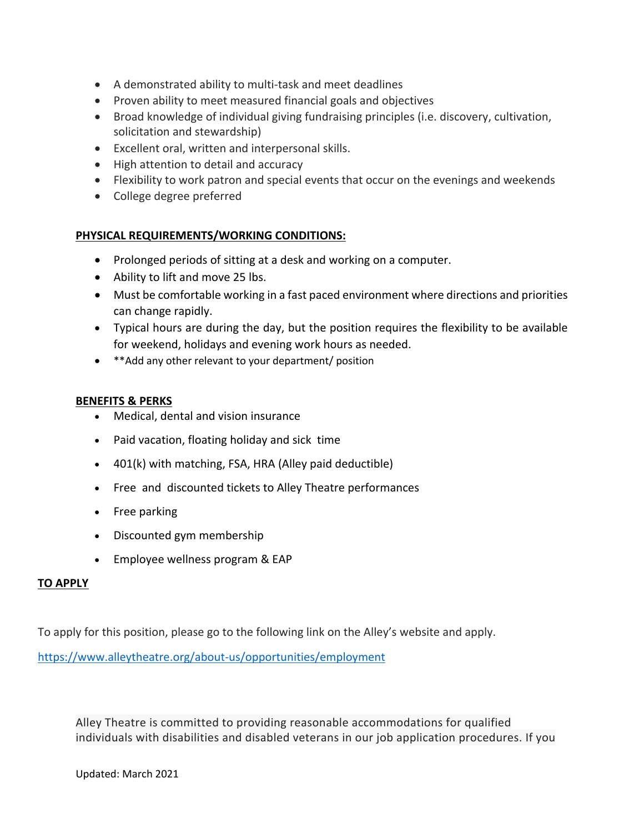- A demonstrated ability to multi-task and meet deadlines
- Proven ability to meet measured financial goals and objectives
- Broad knowledge of individual giving fundraising principles (i.e. discovery, cultivation, solicitation and stewardship)
- Excellent oral, written and interpersonal skills.
- High attention to detail and accuracy
- Flexibility to work patron and special events that occur on the evenings and weekends
- College degree preferred

### **PHYSICAL REQUIREMENTS/WORKING CONDITIONS:**

- Prolonged periods of sitting at a desk and working on a computer.
- Ability to lift and move 25 lbs.
- Must be comfortable working in a fast paced environment where directions and priorities can change rapidly.
- Typical hours are during the day, but the position requires the flexibility to be available for weekend, holidays and evening work hours as needed.
- \*\*Add any other relevant to your department/ position

#### **BENEFITS & PERKS**

- Medical, dental and vision insurance
- Paid vacation, floating holiday and sick time
- 401(k) with matching, FSA, HRA (Alley paid deductible)
- Free and discounted tickets to Alley Theatre performances
- Free parking
- Discounted gym membership
- Employee wellness program & EAP

#### **TO APPLY**

To apply for this position, please go to the following link on the Alley's website and apply.

https://www.alleytheatre.org/about-us/opportunities/employment

Alley Theatre is committed to providing reasonable accommodations for qualified individuals with disabilities and disabled veterans in our job application procedures. If you